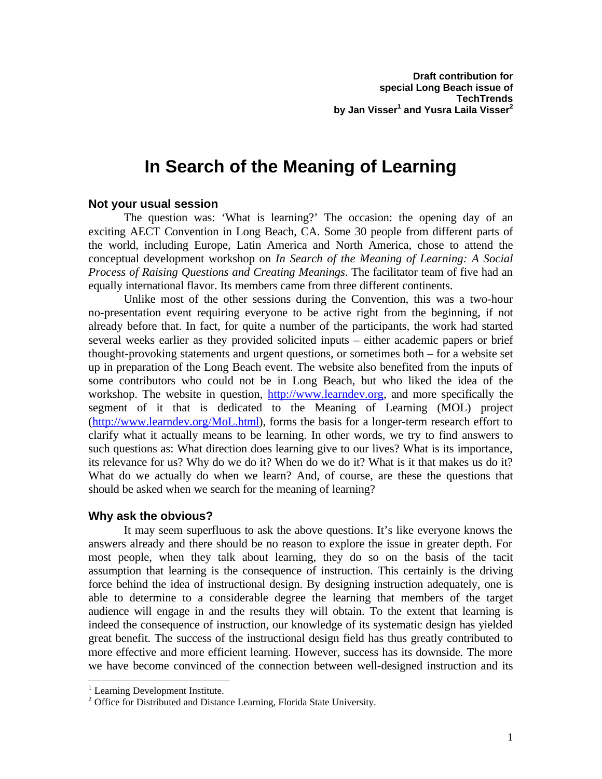# **In Search of the Meaning of Learning**

# **Not your usual session**

The question was: 'What is learning?' The occasion: the opening day of an exciting AECT Convention in Long Beach, CA. Some 30 people from different parts of the world, including Europe, Latin America and North America, chose to attend the conceptual development workshop on *In Search of the Meaning of Learning: A Social Process of Raising Questions and Creating Meanings*. The facilitator team of five had an equally international flavor. Its members came from three different continents.

Unlike most of the other sessions during the Convention, this was a two-hour no-presentation event requiring everyone to be active right from the beginning, if not already before that. In fact, for quite a number of the participants, the work had started several weeks earlier as they provided solicited inputs – either academic papers or brief thought-provoking statements and urgent questions, or sometimes both – for a website set up in preparation of the Long Beach event. The website also benefited from the inputs of some contributors who could not be in Long Beach, but who liked the idea of the workshop. The website in question, http://www.learndev.org, and more specifically the segment of it that is dedicated to the Meaning of Learning (MOL) project (http://www.learndev.org/MoL.html), forms the basis for a longer-term research effort to clarify what it actually means to be learning. In other words, we try to find answers to such questions as: What direction does learning give to our lives? What is its importance, its relevance for us? Why do we do it? When do we do it? What is it that makes us do it? What do we actually do when we learn? And, of course, are these the questions that should be asked when we search for the meaning of learning?

# **Why ask the obvious?**

It may seem superfluous to ask the above questions. It's like everyone knows the answers already and there should be no reason to explore the issue in greater depth. For most people, when they talk about learning, they do so on the basis of the tacit assumption that learning is the consequence of instruction. This certainly is the driving force behind the idea of instructional design. By designing instruction adequately, one is able to determine to a considerable degree the learning that members of the target audience will engage in and the results they will obtain. To the extent that learning is indeed the consequence of instruction, our knowledge of its systematic design has yielded great benefit. The success of the instructional design field has thus greatly contributed to more effective and more efficient learning. However, success has its downside. The more we have become convinced of the connection between well-designed instruction and its

<sup>&</sup>lt;sup>1</sup> Learning Development Institute.

<sup>&</sup>lt;sup>2</sup> Office for Distributed and Distance Learning, Florida State University.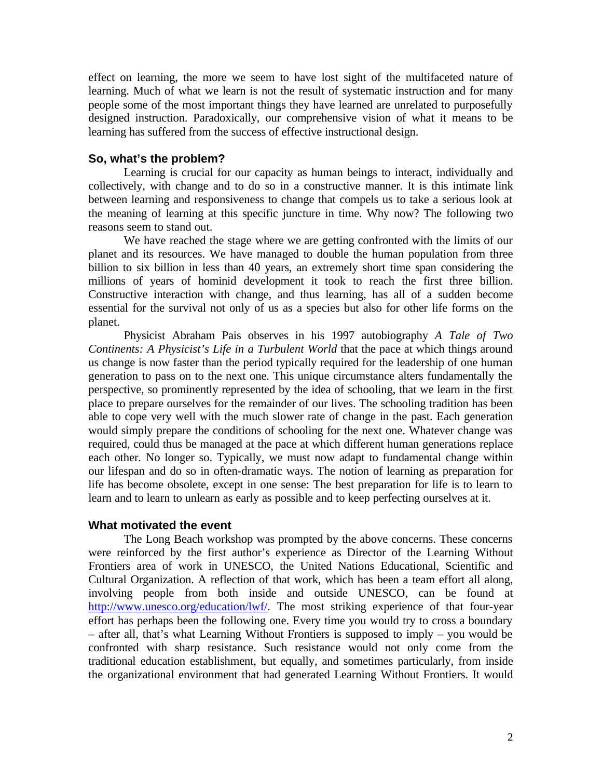effect on learning, the more we seem to have lost sight of the multifaceted nature of learning. Much of what we learn is not the result of systematic instruction and for many people some of the most important things they have learned are unrelated to purposefully designed instruction. Paradoxically, our comprehensive vision of what it means to be learning has suffered from the success of effective instructional design.

## **So, what's the problem?**

Learning is crucial for our capacity as human beings to interact, individually and collectively, with change and to do so in a constructive manner. It is this intimate link between learning and responsiveness to change that compels us to take a serious look at the meaning of learning at this specific juncture in time. Why now? The following two reasons seem to stand out.

We have reached the stage where we are getting confronted with the limits of our planet and its resources. We have managed to double the human population from three billion to six billion in less than 40 years, an extremely short time span considering the millions of years of hominid development it took to reach the first three billion. Constructive interaction with change, and thus learning, has all of a sudden become essential for the survival not only of us as a species but also for other life forms on the planet.

Physicist Abraham Pais observes in his 1997 autobiography *A Tale of Two Continents: A Physicist's Life in a Turbulent World* that the pace at which things around us change is now faster than the period typically required for the leadership of one human generation to pass on to the next one. This unique circumstance alters fundamentally the perspective, so prominently represented by the idea of schooling, that we learn in the first place to prepare ourselves for the remainder of our lives. The schooling tradition has been able to cope very well with the much slower rate of change in the past. Each generation would simply prepare the conditions of schooling for the next one. Whatever change was required, could thus be managed at the pace at which different human generations replace each other. No longer so. Typically, we must now adapt to fundamental change within our lifespan and do so in often-dramatic ways. The notion of learning as preparation for life has become obsolete, except in one sense: The best preparation for life is to learn to learn and to learn to unlearn as early as possible and to keep perfecting ourselves at it.

#### **What motivated the event**

The Long Beach workshop was prompted by the above concerns. These concerns were reinforced by the first author's experience as Director of the Learning Without Frontiers area of work in UNESCO, the United Nations Educational, Scientific and Cultural Organization. A reflection of that work, which has been a team effort all along, involving people from both inside and outside UNESCO, can be found at http://www.unesco.org/education/lwf/. The most striking experience of that four-year effort has perhaps been the following one. Every time you would try to cross a boundary – after all, that's what Learning Without Frontiers is supposed to imply – you would be confronted with sharp resistance. Such resistance would not only come from the traditional education establishment, but equally, and sometimes particularly, from inside the organizational environment that had generated Learning Without Frontiers. It would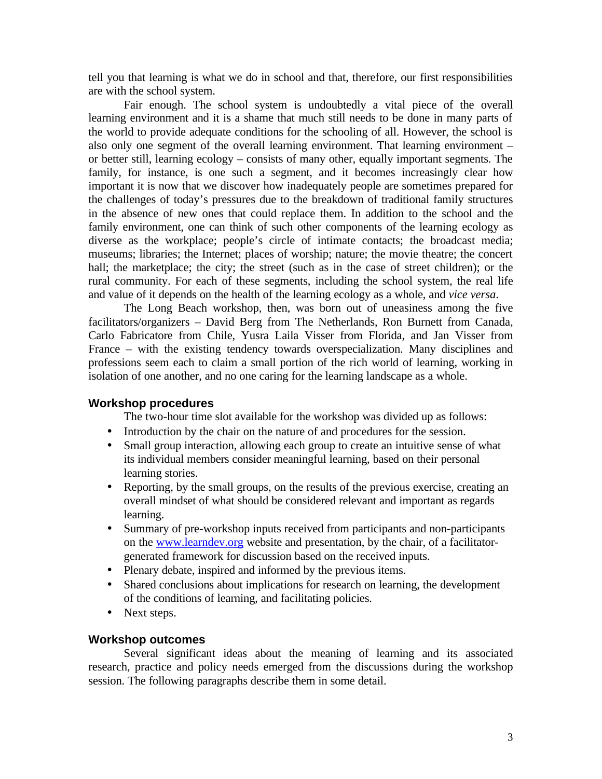tell you that learning is what we do in school and that, therefore, our first responsibilities are with the school system.

Fair enough. The school system is undoubtedly a vital piece of the overall learning environment and it is a shame that much still needs to be done in many parts of the world to provide adequate conditions for the schooling of all. However, the school is also only one segment of the overall learning environment. That learning environment – or better still, learning ecology – consists of many other, equally important segments. The family, for instance, is one such a segment, and it becomes increasingly clear how important it is now that we discover how inadequately people are sometimes prepared for the challenges of today's pressures due to the breakdown of traditional family structures in the absence of new ones that could replace them. In addition to the school and the family environment, one can think of such other components of the learning ecology as diverse as the workplace; people's circle of intimate contacts; the broadcast media; museums; libraries; the Internet; places of worship; nature; the movie theatre; the concert hall; the marketplace; the city; the street (such as in the case of street children); or the rural community. For each of these segments, including the school system, the real life and value of it depends on the health of the learning ecology as a whole, and *vice versa*.

The Long Beach workshop, then, was born out of uneasiness among the five facilitators/organizers – David Berg from The Netherlands, Ron Burnett from Canada, Carlo Fabricatore from Chile, Yusra Laila Visser from Florida, and Jan Visser from France – with the existing tendency towards overspecialization. Many disciplines and professions seem each to claim a small portion of the rich world of learning, working in isolation of one another, and no one caring for the learning landscape as a whole.

#### **Workshop procedures**

The two-hour time slot available for the workshop was divided up as follows:

- Introduction by the chair on the nature of and procedures for the session.
- Small group interaction, allowing each group to create an intuitive sense of what its individual members consider meaningful learning, based on their personal learning stories.
- Reporting, by the small groups, on the results of the previous exercise, creating an overall mindset of what should be considered relevant and important as regards learning.
- Summary of pre-workshop inputs received from participants and non-participants on the www.learndev.org website and presentation, by the chair, of a facilitatorgenerated framework for discussion based on the received inputs.
- Plenary debate, inspired and informed by the previous items.
- Shared conclusions about implications for research on learning, the development of the conditions of learning, and facilitating policies.
- Next steps.

## **Workshop outcomes**

Several significant ideas about the meaning of learning and its associated research, practice and policy needs emerged from the discussions during the workshop session. The following paragraphs describe them in some detail.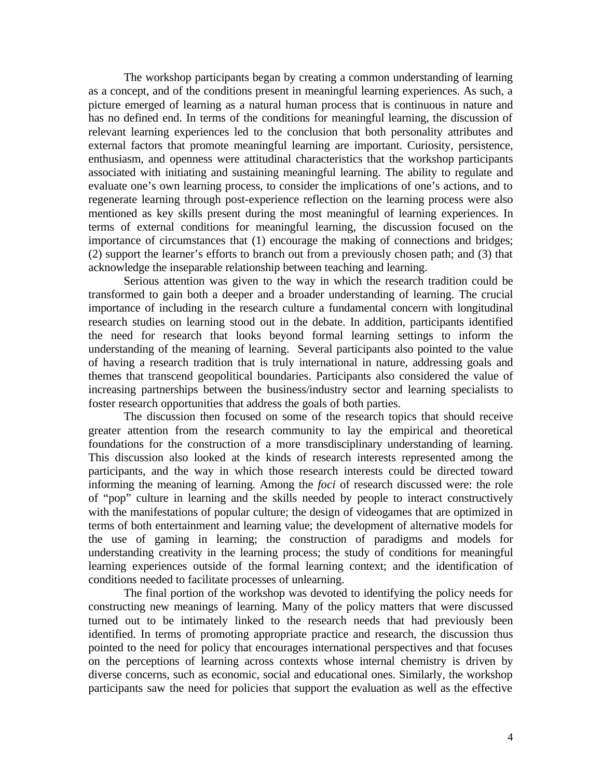The workshop participants began by creating a common understanding of learning as a concept, and of the conditions present in meaningful learning experiences. As such, a picture emerged of learning as a natural human process that is continuous in nature and has no defined end. In terms of the conditions for meaningful learning, the discussion of relevant learning experiences led to the conclusion that both personality attributes and external factors that promote meaningful learning are important. Curiosity, persistence, enthusiasm, and openness were attitudinal characteristics that the workshop participants associated with initiating and sustaining meaningful learning. The ability to regulate and evaluate one's own learning process, to consider the implications of one's actions, and to regenerate learning through post-experience reflection on the learning process were also mentioned as key skills present during the most meaningful of learning experiences. In terms of external conditions for meaningful learning, the discussion focused on the importance of circumstances that (1) encourage the making of connections and bridges; (2) support the learner's efforts to branch out from a previously chosen path; and (3) that acknowledge the inseparable relationship between teaching and learning.

Serious attention was given to the way in which the research tradition could be transformed to gain both a deeper and a broader understanding of learning. The crucial importance of including in the research culture a fundamental concern with longitudinal research studies on learning stood out in the debate. In addition, participants identified the need for research that looks beyond formal learning settings to inform the understanding of the meaning of learning. Several participants also pointed to the value of having a research tradition that is truly international in nature, addressing goals and themes that transcend geopolitical boundaries. Participants also considered the value of increasing partnerships between the business/industry sector and learning specialists to foster research opportunities that address the goals of both parties.

The discussion then focused on some of the research topics that should receive greater attention from the research community to lay the empirical and theoretical foundations for the construction of a more transdisciplinary understanding of learning. This discussion also looked at the kinds of research interests represented among the participants, and the way in which those research interests could be directed toward informing the meaning of learning. Among the *foci* of research discussed were: the role of "pop" culture in learning and the skills needed by people to interact constructively with the manifestations of popular culture; the design of videogames that are optimized in terms of both entertainment and learning value; the development of alternative models for the use of gaming in learning; the construction of paradigms and models for understanding creativity in the learning process; the study of conditions for meaningful learning experiences outside of the formal learning context; and the identification of conditions needed to facilitate processes of unlearning.

The final portion of the workshop was devoted to identifying the policy needs for constructing new meanings of learning. Many of the policy matters that were discussed turned out to be intimately linked to the research needs that had previously been identified. In terms of promoting appropriate practice and research, the discussion thus pointed to the need for policy that encourages international perspectives and that focuses on the perceptions of learning across contexts whose internal chemistry is driven by diverse concerns, such as economic, social and educational ones. Similarly, the workshop participants saw the need for policies that support the evaluation as well as the effective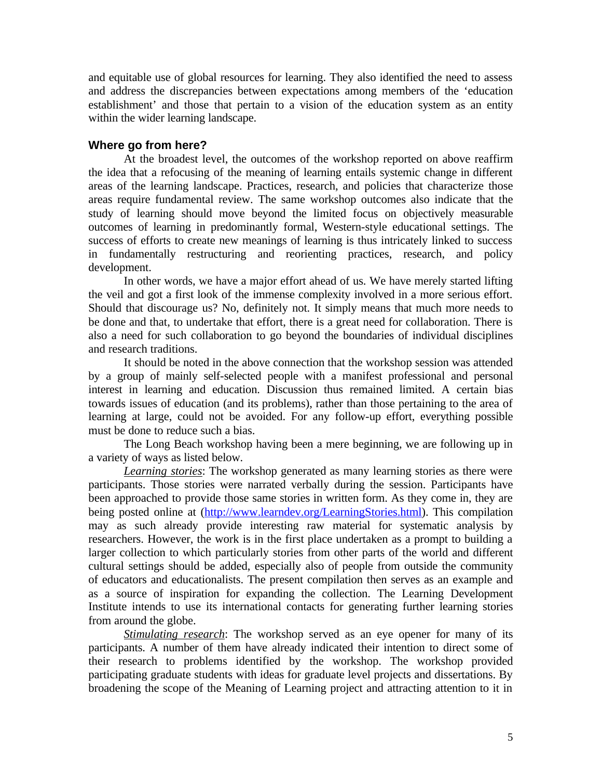and equitable use of global resources for learning. They also identified the need to assess and address the discrepancies between expectations among members of the 'education establishment' and those that pertain to a vision of the education system as an entity within the wider learning landscape.

# **Where go from here?**

At the broadest level, the outcomes of the workshop reported on above reaffirm the idea that a refocusing of the meaning of learning entails systemic change in different areas of the learning landscape. Practices, research, and policies that characterize those areas require fundamental review. The same workshop outcomes also indicate that the study of learning should move beyond the limited focus on objectively measurable outcomes of learning in predominantly formal, Western-style educational settings. The success of efforts to create new meanings of learning is thus intricately linked to success in fundamentally restructuring and reorienting practices, research, and policy development.

In other words, we have a major effort ahead of us. We have merely started lifting the veil and got a first look of the immense complexity involved in a more serious effort. Should that discourage us? No, definitely not. It simply means that much more needs to be done and that, to undertake that effort, there is a great need for collaboration. There is also a need for such collaboration to go beyond the boundaries of individual disciplines and research traditions.

It should be noted in the above connection that the workshop session was attended by a group of mainly self-selected people with a manifest professional and personal interest in learning and education. Discussion thus remained limited. A certain bias towards issues of education (and its problems), rather than those pertaining to the area of learning at large, could not be avoided. For any follow-up effort, everything possible must be done to reduce such a bias.

The Long Beach workshop having been a mere beginning, we are following up in a variety of ways as listed below.

*Learning stories*: The workshop generated as many learning stories as there were participants. Those stories were narrated verbally during the session. Participants have been approached to provide those same stories in written form. As they come in, they are being posted online at (http://www.learndev.org/LearningStories.html). This compilation may as such already provide interesting raw material for systematic analysis by researchers. However, the work is in the first place undertaken as a prompt to building a larger collection to which particularly stories from other parts of the world and different cultural settings should be added, especially also of people from outside the community of educators and educationalists. The present compilation then serves as an example and as a source of inspiration for expanding the collection. The Learning Development Institute intends to use its international contacts for generating further learning stories from around the globe.

*Stimulating research*: The workshop served as an eye opener for many of its participants. A number of them have already indicated their intention to direct some of their research to problems identified by the workshop. The workshop provided participating graduate students with ideas for graduate level projects and dissertations. By broadening the scope of the Meaning of Learning project and attracting attention to it in